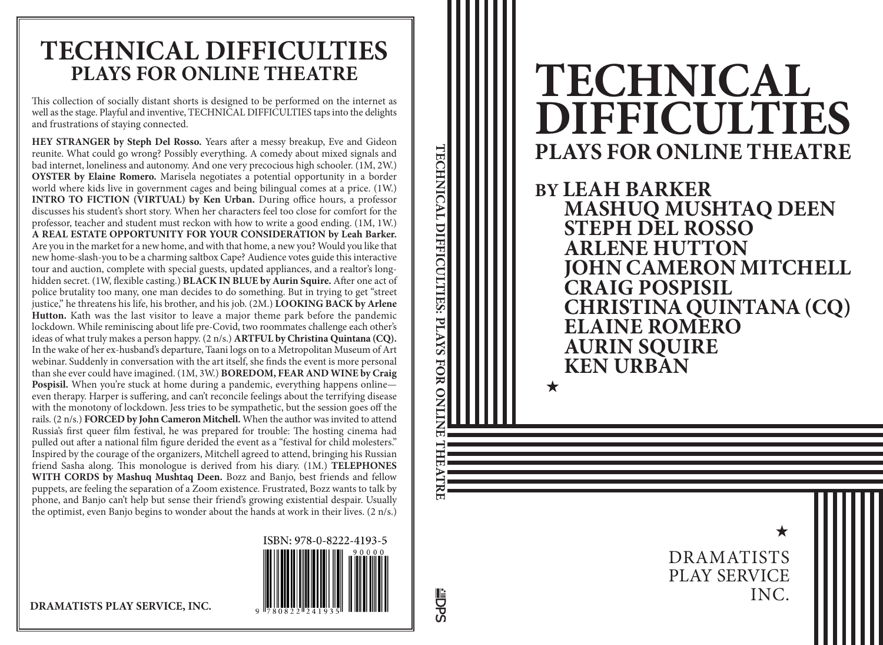# **TECHNICAL DIFFICULTIES PLAYS FOR ONLINE THEATRE**

**BY LEAH BARKER MASHUQ MUSHTAQ DEEN STEPH DEL ROSSO ARLENE HUTTON JOHN CAMERON MITCHELL CRAIG POSPISIL CHRISTINA QUINTANA (CQ) ELAINE ROMERO AURIN SQUIRE KEN URBAN**

★

 $\bigstar$ 

DRAMATISTS PLAY SERVICE INC.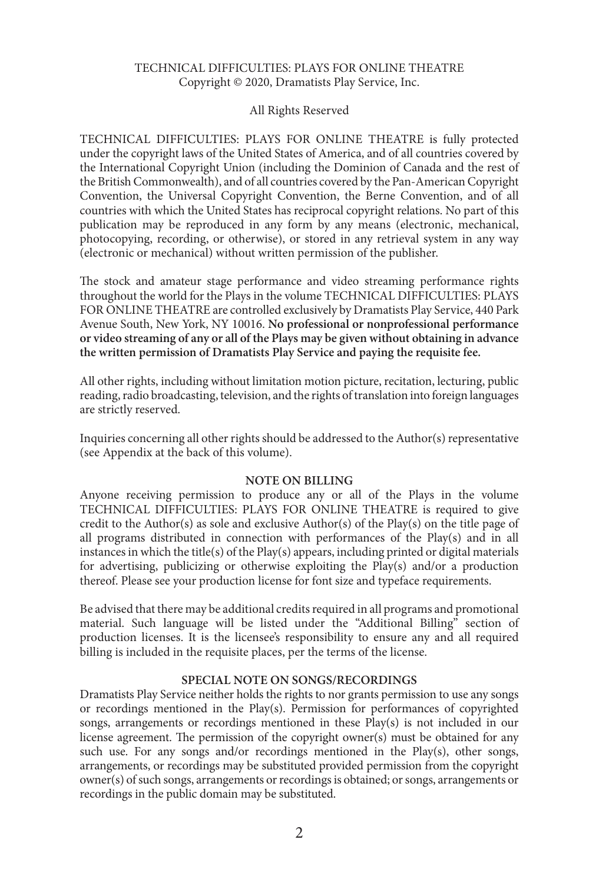#### TECHNICAL DIFFICULTIES: PLAYS FOR ONLINE THEATRE Copyright © 2020, Dramatists Play Service, Inc.

#### All Rights Reserved

TECHNICAL DIFFICULTIES: PLAYS FOR ONLINE THEATRE is fully protected under the copyright laws of the United States of America, and of all countries covered by the International Copyright Union (including the Dominion of Canada and the rest of the British Commonwealth), and of all countries covered by the Pan-American Copyright Convention, the Universal Copyright Convention, the Berne Convention, and of all countries with which the United States has reciprocal copyright relations. No part of this publication may be reproduced in any form by any means (electronic, mechanical, photocopying, recording, or otherwise), or stored in any retrieval system in any way (electronic or mechanical) without written permission of the publisher.

The stock and amateur stage performance and video streaming performance rights throughout the world for the Plays in the volume TECHNICAL DIFFICULTIES: PLAYS FOR ONLINE THEATRE are controlled exclusively by Dramatists Play Service, 440 Park Avenue South, New York, NY 10016. **No professional or nonprofessional performance or video streaming of any or all of the Plays may be given without obtaining in advance the written permission of Dramatists Play Service and paying the requisite fee.**

All other rights, including without limitation motion picture, recitation, lecturing, public reading, radio broadcasting, television, and the rights of translation into foreign languages are strictly reserved.

Inquiries concerning all other rights should be addressed to the Author(s) representative (see Appendix at the back of this volume).

#### **NOTE ON BILLING**

Anyone receiving permission to produce any or all of the Plays in the volume TECHNICAL DIFFICULTIES: PLAYS FOR ONLINE THEATRE is required to give credit to the Author(s) as sole and exclusive Author(s) of the Play(s) on the title page of all programs distributed in connection with performances of the Play(s) and in all instances in which the title(s) of the Play(s) appears, including printed or digital materials for advertising, publicizing or otherwise exploiting the Play(s) and/or a production thereof. Please see your production license for font size and typeface requirements.

Be advised that there may be additional credits required in all programs and promotional material. Such language will be listed under the "Additional Billing" section of production licenses. It is the licensee's responsibility to ensure any and all required billing is included in the requisite places, per the terms of the license.

#### **SPECIAL NOTE ON SONGS/RECORDINGS**

Dramatists Play Service neither holds the rights to nor grants permission to use any songs or recordings mentioned in the Play(s). Permission for performances of copyrighted songs, arrangements or recordings mentioned in these Play(s) is not included in our license agreement. The permission of the copyright owner(s) must be obtained for any such use. For any songs and/or recordings mentioned in the Play(s), other songs, arrangements, or recordings may be substituted provided permission from the copyright owner(s) of such songs, arrangements or recordings is obtained; or songs, arrangements or recordings in the public domain may be substituted.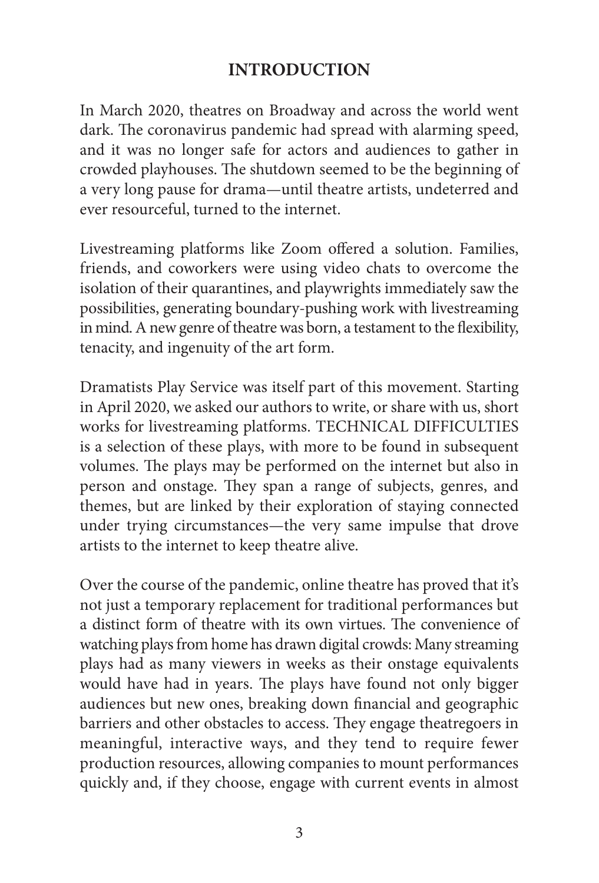### **INTRODUCTION**

In March 2020, theatres on Broadway and across the world went dark. The coronavirus pandemic had spread with alarming speed, and it was no longer safe for actors and audiences to gather in crowded playhouses. The shutdown seemed to be the beginning of a very long pause for drama—until theatre artists, undeterred and ever resourceful, turned to the internet.

Livestreaming platforms like Zoom offered a solution. Families, friends, and coworkers were using video chats to overcome the isolation of their quarantines, and playwrights immediately saw the possibilities, generating boundary-pushing work with livestreaming in mind. A new genre of theatre was born, a testament to the flexibility, tenacity, and ingenuity of the art form.

Dramatists Play Service was itself part of this movement. Starting in April 2020, we asked our authors to write, or share with us, short works for livestreaming platforms. TECHNICAL DIFFICULTIES is a selection of these plays, with more to be found in subsequent volumes. The plays may be performed on the internet but also in person and onstage. They span a range of subjects, genres, and themes, but are linked by their exploration of staying connected under trying circumstances—the very same impulse that drove artists to the internet to keep theatre alive.

Over the course of the pandemic, online theatre has proved that it's not just a temporary replacement for traditional performances but a distinct form of theatre with its own virtues. The convenience of watching plays from home has drawn digital crowds: Many streaming plays had as many viewers in weeks as their onstage equivalents would have had in years. The plays have found not only bigger audiences but new ones, breaking down financial and geographic barriers and other obstacles to access. They engage theatregoers in meaningful, interactive ways, and they tend to require fewer production resources, allowing companies to mount performances quickly and, if they choose, engage with current events in almost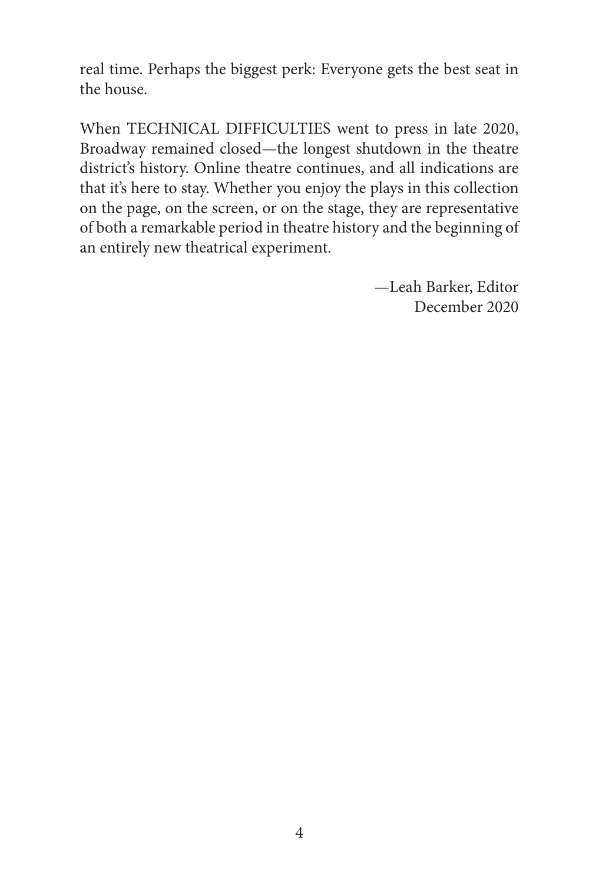real time. Perhaps the biggest perk: Everyone gets the best seat in the house.

When TECHNICAL DIFFICULTIES went to press in late 2020, Broadway remained closed—the longest shutdown in the theatre district's history. Online theatre continues, and all indications are that it's here to stay. Whether you enjoy the plays in this collection on the page, on the screen, or on the stage, they are representative of both a remarkable period in theatre history and the beginning of an entirely new theatrical experiment.

> —Leah Barker, Editor December 2020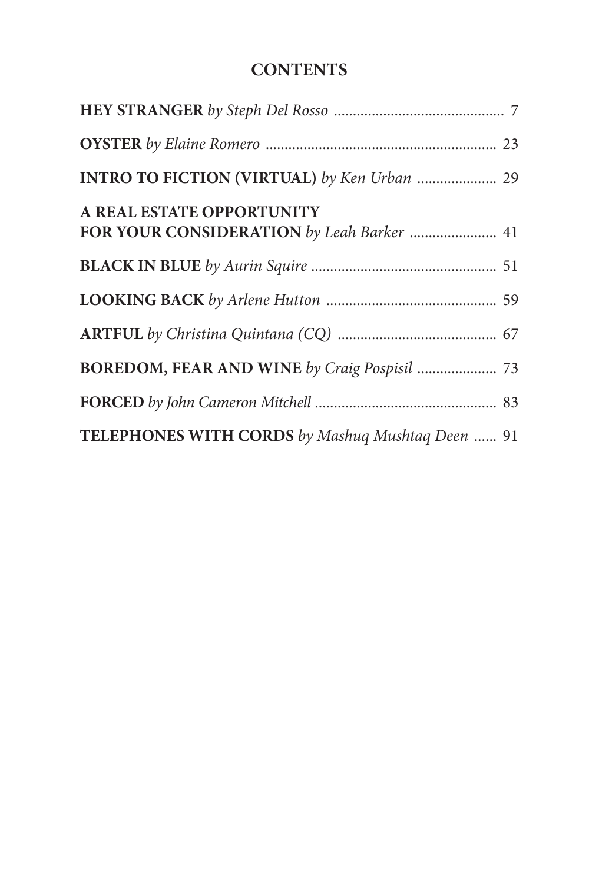## **CONTENTS**

| INTRO TO FICTION (VIRTUAL) by Ken Urban  29                            |  |
|------------------------------------------------------------------------|--|
| A REAL ESTATE OPPORTUNITY<br>FOR YOUR CONSIDERATION by Leah Barker  41 |  |
|                                                                        |  |
|                                                                        |  |
|                                                                        |  |
|                                                                        |  |
|                                                                        |  |
| TELEPHONES WITH CORDS by Mashuq Mushtaq Deen  91                       |  |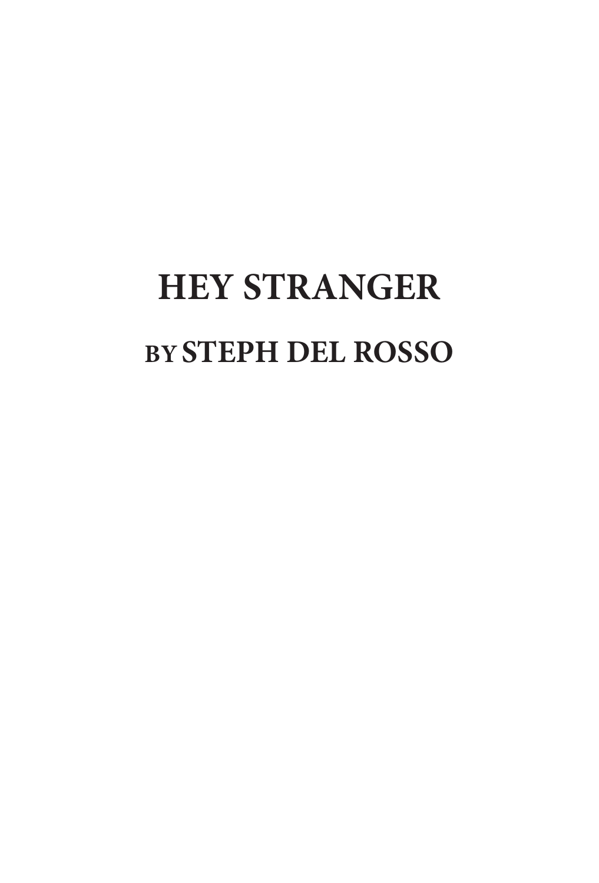# **HEY STRANGER BYSTEPH DEL ROSSO**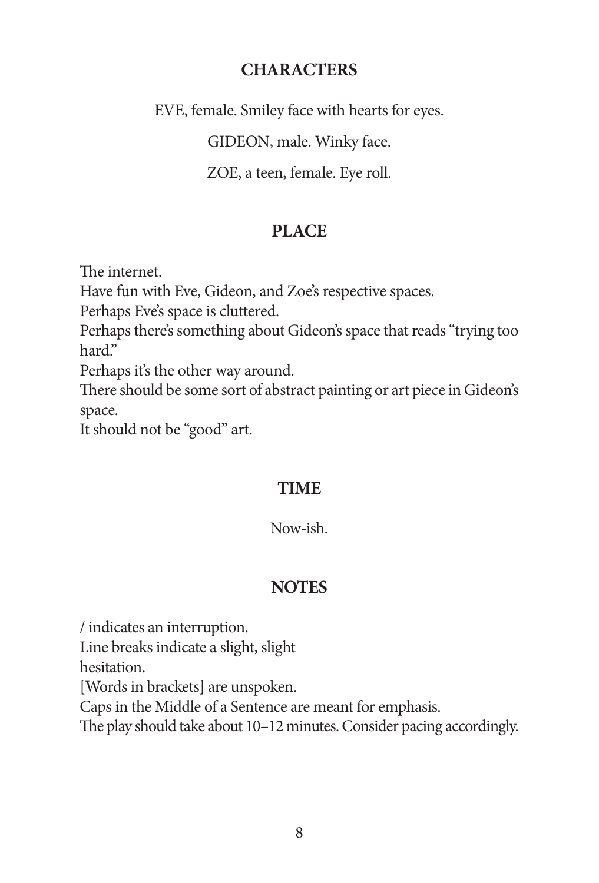#### **CHARACTERS**

EVE, female. Smiley face with hearts for eyes.

GIDEON, male. Winky face.

ZOE, a teen, female. Eye roll.

### **PLACE**

The internet.

Have fun with Eve, Gideon, and Zoe's respective spaces.

Perhaps Eve's space is cluttered.

Perhaps there's something about Gideon's space that reads "trying too hard."

Perhaps it's the other way around.

There should be some sort of abstract painting or art piece in Gideon's space.

It should not be "good" art.

## **TIME**

#### Now-ish.

## **NOTES**

/ indicates an interruption.

Line breaks indicate a slight, slight

hesitation.

[Words in brackets] are unspoken.

Caps in the Middle of a Sentence are meant for emphasis.

The play should take about 10–12 minutes. Consider pacing accordingly.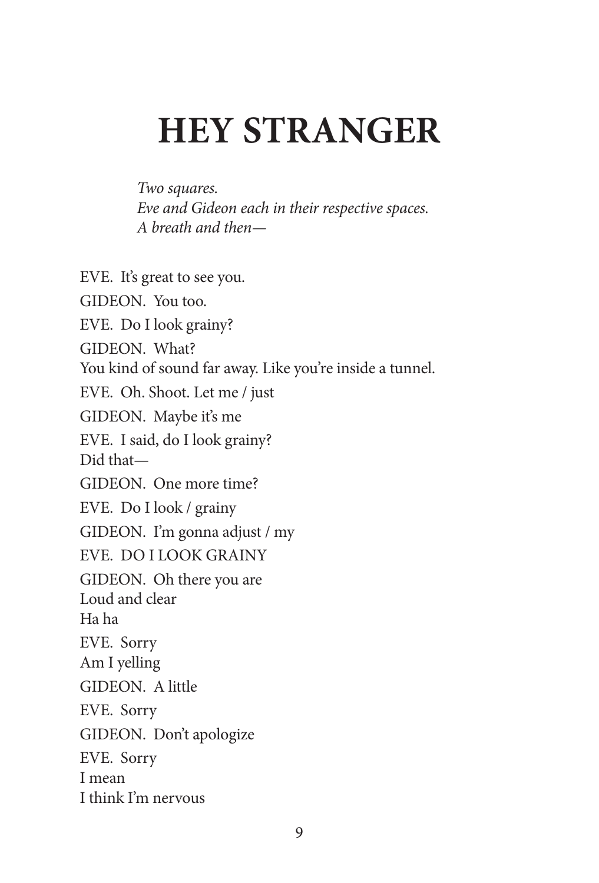# **HEY STRANGER**

*Two squares. Eve and Gideon each in their respective spaces. A breath and then—*

EVE. It's great to see you. GIDEON. You too. EVE. Do I look grainy? GIDEON. What? You kind of sound far away. Like you're inside a tunnel. EVE. Oh. Shoot. Let me / just GIDEON. Maybe it's me EVE. I said, do I look grainy? Did that— GIDEON. One more time? EVE. Do I look / grainy GIDEON. I'm gonna adjust / my EVE. DO I LOOK GRAINY GIDEON. Oh there you are Loud and clear Ha ha EVE. Sorry Am I yelling GIDEON. A little EVE. Sorry GIDEON. Don't apologize EVE. Sorry I mean I think I'm nervous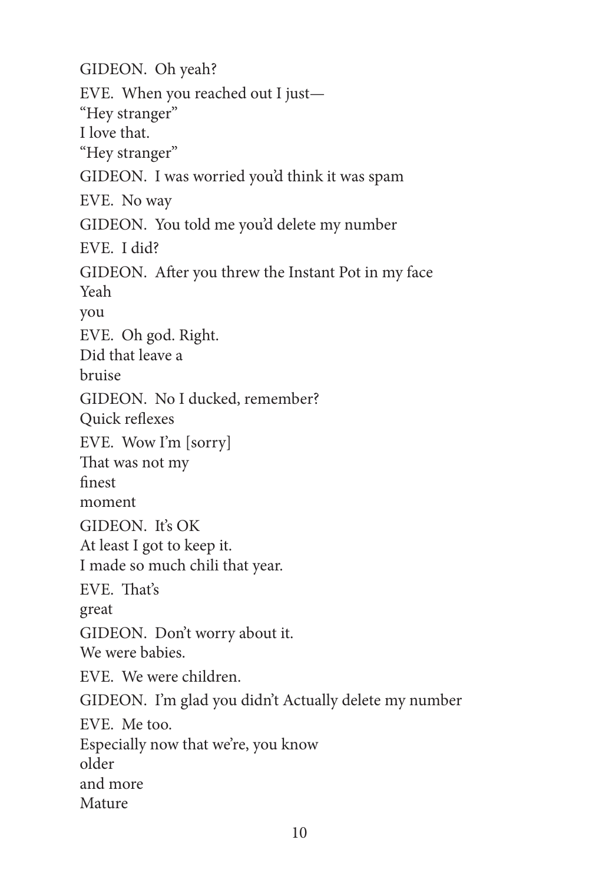GIDEON. Oh yeah? EVE. When you reached out I just— "Hey stranger" I love that. "Hey stranger" GIDEON. I was worried you'd think it was spam EVE. No way GIDEON. You told me you'd delete my number EVE. I did? GIDEON. After you threw the Instant Pot in my face Yeah you EVE. Oh god. Right. Did that leave a bruise GIDEON. No I ducked, remember? Quick reflexes EVE. Wow I'm [sorry] That was not my finest moment GIDEON. It's OK At least I got to keep it. I made so much chili that year. EVE. That's great GIDEON. Don't worry about it. We were babies. EVE. We were children. GIDEON. I'm glad you didn't Actually delete my number EVE. Me too. Especially now that we're, you know older and more Mature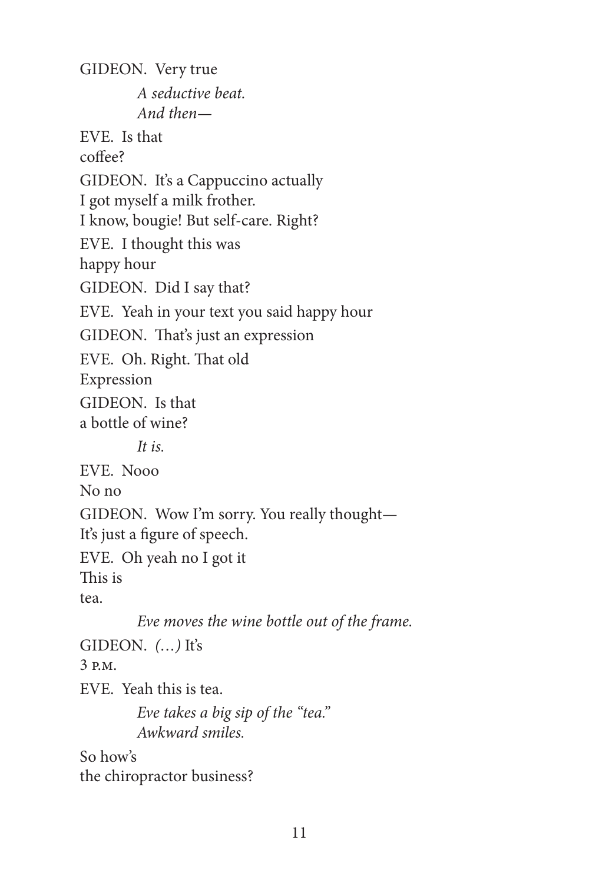GIDEON. Very true *A seductive beat. And then—* EVE. Is that coffee? GIDEON. It's a Cappuccino actually I got myself a milk frother. I know, bougie! But self-care. Right? EVE. I thought this was happy hour GIDEON. Did I say that? EVE. Yeah in your text you said happy hour GIDEON. That's just an expression EVE. Oh. Right. That old Expression GIDEON. Is that a bottle of wine? *It is.* EVE. Nooo No no GIDEON. Wow I'm sorry. You really thought— It's just a figure of speech. EVE. Oh yeah no I got it This is tea. *Eve moves the wine bottle out of the frame.* GIDEON. *(…)* It's 3 p.m. EVE. Yeah this is tea. *Eve takes a big sip of the "tea." Awkward smiles.* So how's the chiropractor business?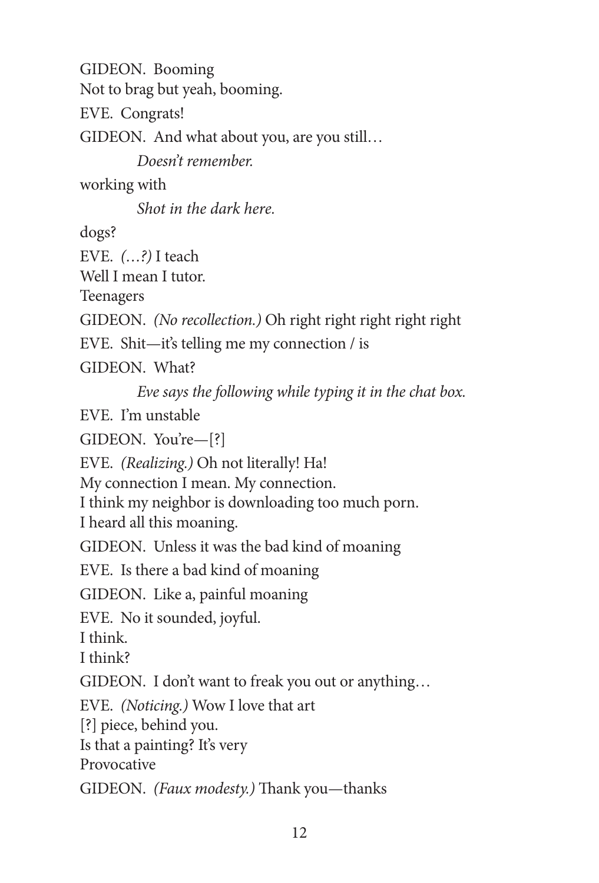GIDEON. Booming Not to brag but yeah, booming. EVE. Congrats! GIDEON. And what about you, are you still… *Doesn't remember.* working with *Shot in the dark here.* dogs? EVE. *(…?)* I teach Well I mean I tutor. Teenagers GIDEON. *(No recollection.)* Oh right right right right right EVE. Shit—it's telling me my connection / is GIDEON. What? *Eve says the following while typing it in the chat box.* EVE. I'm unstable GIDEON. You're—[?] EVE. *(Realizing.)* Oh not literally! Ha! My connection I mean. My connection. I think my neighbor is downloading too much porn. I heard all this moaning. GIDEON. Unless it was the bad kind of moaning EVE. Is there a bad kind of moaning GIDEON. Like a, painful moaning EVE. No it sounded, joyful. I think. I think? GIDEON. I don't want to freak you out or anything… EVE. *(Noticing.)* Wow I love that art [?] piece, behind you. Is that a painting? It's very Provocative GIDEON. *(Faux modesty.)* Thank you—thanks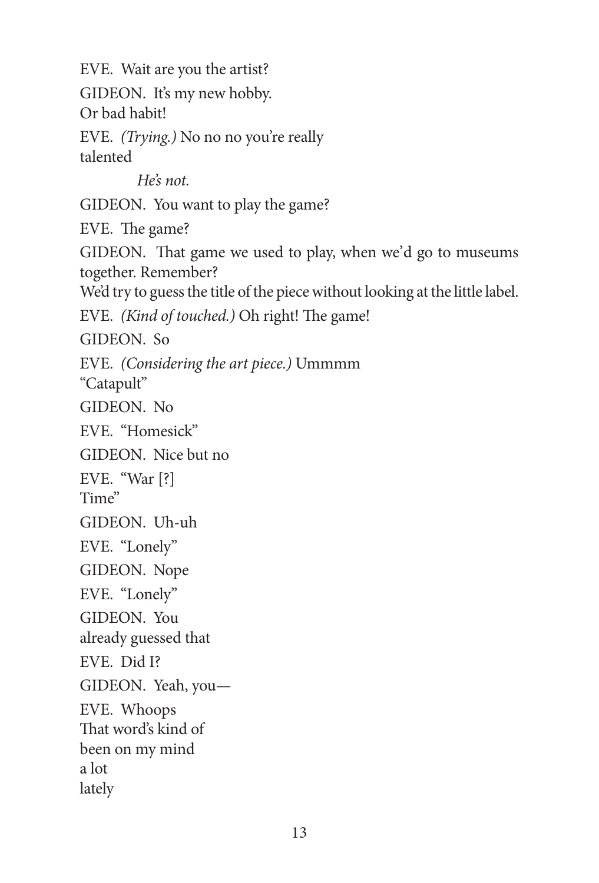EVE. Wait are you the artist? GIDEON. It's my new hobby. Or bad habit! EVE. *(Trying.)* No no no you're really talented *He's not.* GIDEON. You want to play the game? EVE. The game? GIDEON. That game we used to play, when we'd go to museums together. Remember? We'd try to guess the title of the piece without looking at the little label. EVE. *(Kind of touched.)* Oh right! The game! GIDEON. So EVE. *(Considering the art piece.)* Ummmm "Catapult" GIDEON. No EVE. "Homesick" GIDEON. Nice but no EVE. "War [?] Time" GIDEON. Uh-uh EVE. "Lonely" GIDEON. Nope EVE. "Lonely" GIDEON. You already guessed that EVE. Did I? GIDEON. Yeah, you— EVE. Whoops That word's kind of been on my mind a lot lately